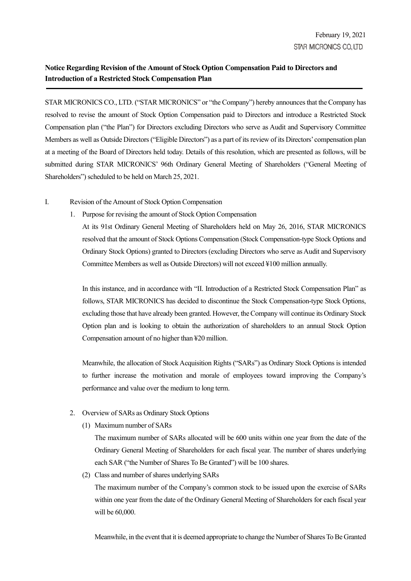## Notice Regarding Revision of the Amount of Stock Option Compensation Paid to Directors and Introduction of a Restricted Stock Compensation Plan

STAR MICRONICS CO., LTD. ("STAR MICRONICS" or "the Company") hereby announces that the Company has resolved to revise the amount of Stock Option Compensation paid to Directors and introduce a Restricted Stock Compensation plan ("the Plan") for Directors excluding Directors who serve as Audit and Supervisory Committee Members as well as Outside Directors ("Eligible Directors") as a part of its review of its Directors' compensation plan at a meeting of the Board of Directors held today. Details of this resolution, which are presented as follows, will be submitted during STAR MICRONICS' 96th Ordinary General Meeting of Shareholders ("General Meeting of Shareholders") scheduled to be held on March 25, 2021.

- I. Revision of the Amount of Stock Option Compensation
	- 1. Purpose for revising the amount of Stock Option Compensation

At its 91st Ordinary General Meeting of Shareholders held on May 26, 2016, STAR MICRONICS resolved that the amount of Stock Options Compensation (Stock Compensation-type Stock Options and Ordinary Stock Options) granted to Directors (excluding Directors who serve as Audit and Supervisory Committee Members as well as Outside Directors) will not exceed ¥100 million annually.

In this instance, and in accordance with "II. Introduction of a Restricted Stock Compensation Plan" as follows, STAR MICRONICS has decided to discontinue the Stock Compensation-type Stock Options, excluding those that have already been granted. However, the Company will continue its Ordinary Stock Option plan and is looking to obtain the authorization of shareholders to an annual Stock Option Compensation amount of no higher than ¥20 million.

Meanwhile, the allocation of Stock Acquisition Rights ("SARs") as Ordinary Stock Options is intended to further increase the motivation and morale of employees toward improving the Company's performance and value over the medium to long term.

- 2. Overview of SARs as Ordinary Stock Options
	- (1) Maximum number of SARs

The maximum number of SARs allocated will be 600 units within one year from the date of the Ordinary General Meeting of Shareholders for each fiscal year. The number of shares underlying each SAR ("the Number of Shares To Be Granted") will be 100 shares.

(2) Class and number of shares underlying SARs

The maximum number of the Company's common stock to be issued upon the exercise of SARs within one year from the date of the Ordinary General Meeting of Shareholders for each fiscal year will be 60,000.

Meanwhile, in the event that it is deemed appropriate to change the Number of Shares To Be Granted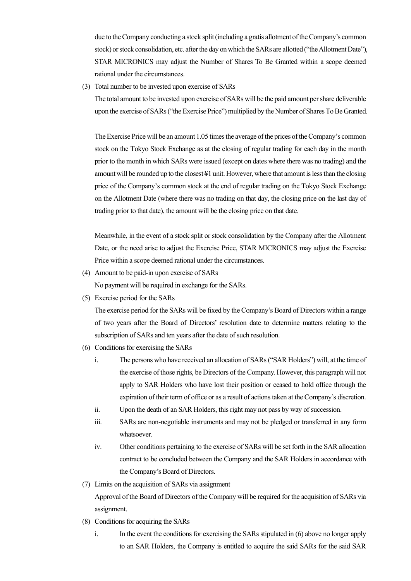due to the Company conducting a stock split (including a gratis allotment of the Company's common stock) or stock consolidation, etc. after the day on which the SARs are allotted ("the Allotment Date"), STAR MICRONICS may adjust the Number of Shares To Be Granted within a scope deemed rational under the circumstances.

(3) Total number to be invested upon exercise of SARs

The total amount to be invested upon exercise of SARs will be the paid amount per share deliverable upon the exercise of SARs ("the Exercise Price") multiplied by the Number of Shares To Be Granted.

The Exercise Price will be an amount 1.05 times the average of the prices of the Company's common stock on the Tokyo Stock Exchange as at the closing of regular trading for each day in the month prior to the month in which SARs were issued (except on dates where there was no trading) and the amount will be rounded up to the closest ¥1 unit. However, where that amount is less than the closing price of the Company's common stock at the end of regular trading on the Tokyo Stock Exchange on the Allotment Date (where there was no trading on that day, the closing price on the last day of trading prior to that date), the amount will be the closing price on that date.

Meanwhile, in the event of a stock split or stock consolidation by the Company after the Allotment Date, or the need arise to adjust the Exercise Price, STAR MICRONICS may adjust the Exercise Price within a scope deemed rational under the circumstances.

- (4) Amount to be paid-in upon exercise of SARs No payment will be required in exchange for the SARs.
- (5) Exercise period for the SARs

The exercise period for the SARs will be fixed by the Company's Board of Directors within a range of two years after the Board of Directors' resolution date to determine matters relating to the subscription of SARs and ten years after the date of such resolution.

- (6) Conditions for exercising the SARs
	- i. The persons who have received an allocation of SARs ("SAR Holders") will, at the time of the exercise of those rights, be Directors of the Company. However, this paragraph will not apply to SAR Holders who have lost their position or ceased to hold office through the expiration of their term of office or as a result of actions taken at the Company's discretion.
	- ii. Upon the death of an SAR Holders, this right may not pass by way of succession.
	- iii. SARs are non-negotiable instruments and may not be pledged or transferred in any form whatsoever.
	- iv. Other conditions pertaining to the exercise of SARs will be set forth in the SAR allocation contract to be concluded between the Company and the SAR Holders in accordance with the Company's Board of Directors.
- (7) Limits on the acquisition of SARs via assignment

Approval of the Board of Directors of the Company will be required for the acquisition of SARs via assignment.

- (8) Conditions for acquiring the SARs
	- i. In the event the conditions for exercising the SARs stipulated in (6) above no longer apply to an SAR Holders, the Company is entitled to acquire the said SARs for the said SAR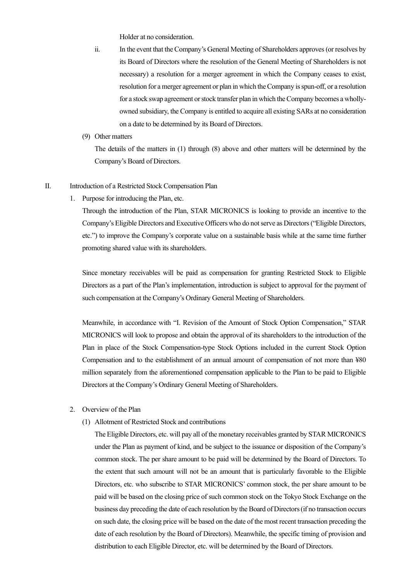Holder at no consideration.

- ii. In the event that the Company's General Meeting of Shareholders approves (or resolves by its Board of Directors where the resolution of the General Meeting of Shareholders is not necessary) a resolution for a merger agreement in which the Company ceases to exist, resolution for a merger agreement or plan in which the Company is spun-off, or a resolution for a stock swap agreement or stock transfer plan in which the Company becomes a whollyowned subsidiary, the Company is entitled to acquire all existing SARs at no consideration on a date to be determined by its Board of Directors.
- (9) Other matters

The details of the matters in (1) through (8) above and other matters will be determined by the Company's Board of Directors.

## II. Introduction of a Restricted Stock Compensation Plan

1. Purpose for introducing the Plan, etc.

Through the introduction of the Plan, STAR MICRONICS is looking to provide an incentive to the Company's Eligible Directors and Executive Officers who do not serve as Directors ("Eligible Directors, etc.") to improve the Company's corporate value on a sustainable basis while at the same time further promoting shared value with its shareholders.

Since monetary receivables will be paid as compensation for granting Restricted Stock to Eligible Directors as a part of the Plan's implementation, introduction is subject to approval for the payment of such compensation at the Company's Ordinary General Meeting of Shareholders.

Meanwhile, in accordance with "I. Revision of the Amount of Stock Option Compensation," STAR MICRONICS will look to propose and obtain the approval of its shareholders to the introduction of the Plan in place of the Stock Compensation-type Stock Options included in the current Stock Option Compensation and to the establishment of an annual amount of compensation of not more than ¥80 million separately from the aforementioned compensation applicable to the Plan to be paid to Eligible Directors at the Company's Ordinary General Meeting of Shareholders.

- 2. Overview of the Plan
	- (1) Allotment of Restricted Stock and contributions

The Eligible Directors, etc. will pay all of the monetary receivables granted by STAR MICRONICS under the Plan as payment of kind, and be subject to the issuance or disposition of the Company's common stock. The per share amount to be paid will be determined by the Board of Directors. To the extent that such amount will not be an amount that is particularly favorable to the Eligible Directors, etc. who subscribe to STAR MICRONICS' common stock, the per share amount to be paid will be based on the closing price of such common stock on the Tokyo Stock Exchange on the business day preceding the date of each resolution by the Board of Directors (if no transaction occurs on such date, the closing price will be based on the date of the most recent transaction preceding the date of each resolution by the Board of Directors). Meanwhile, the specific timing of provision and distribution to each Eligible Director, etc. will be determined by the Board of Directors.